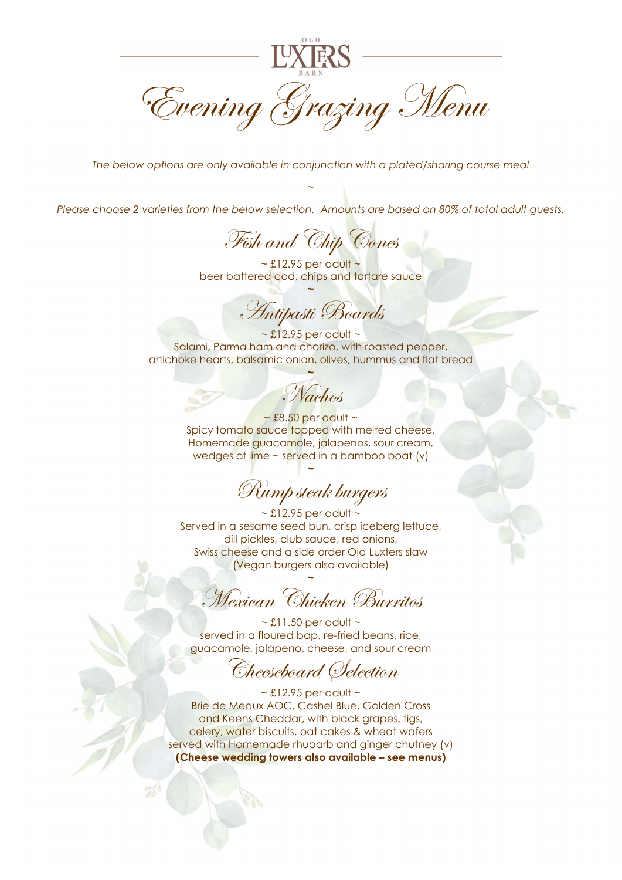

The below options are only available in conjunction with a plated/sharing course meal

 $\sim$ 

Please choose 2 varieties from the below selection. Amounts are based on 80% of total adult guests.

Fish and Chip Cones

 $\sim$  £12.95 per adult  $\sim$ beer battered cod, chips and tartare sauce ~

Antipasti Boards

 $\sim$  £12.95 per adult  $\sim$ Salami, Parma ham and chorizo, with roasted pepper, artichoke hearts, balsamic onion, olives, hummus and flat bread

~ Nachos

 $\sim$  £8.50 per adult  $\sim$ Spicy tomato sauce topped with melted cheese, Homemade guacamole, jalapenos, sour cream, wedges of lime ~ served in a bamboo boat (v)

Rump steak burgers

~

 $\sim$  £12.95 per adult  $\sim$ Served in a sesame seed bun, crisp iceberg lettuce, dill pickles, club sauce, red onions, Swiss cheese and a side order Old Luxters slaw (Vegan burgers also available)

~ Mexican Chicken Burritos

 $\sim$  £11.50 per adult  $\sim$ served in a floured bap, re-fried beans, rice, guacamole, jalapeno, cheese, and sour cream

Cheeseboard Selection

 $\sim$  £12.95 per adult  $\sim$ Brie de Meaux AOC, Cashel Blue, Golden Cross and Keens Cheddar, with black grapes, figs, celery, water biscuits, oat cakes & wheat wafers served with Homemade rhubarb and ginger chutney (v) (Cheese wedding towers also available – see menus)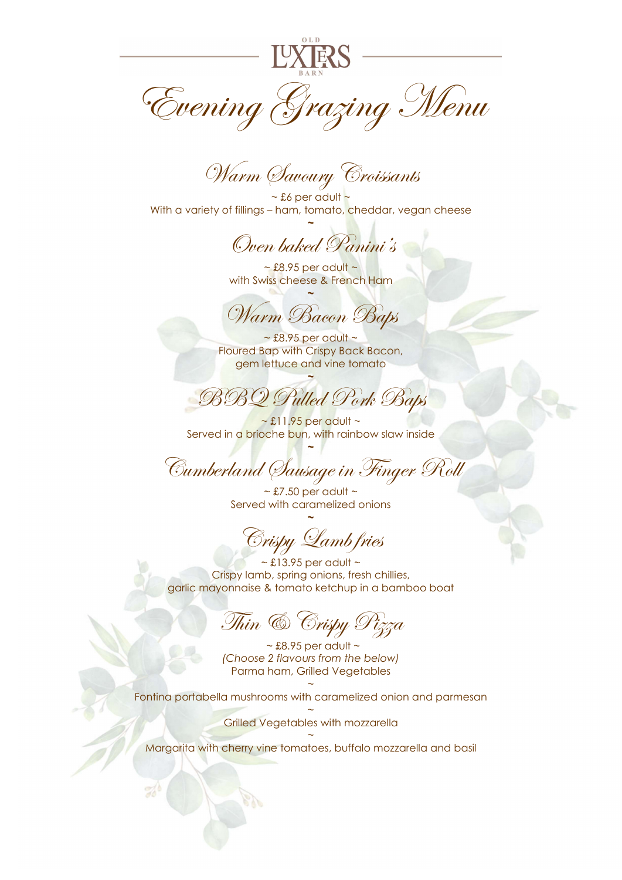

Warm Savoury Croissants

 $~\sim$  £6 per adult  $~\sim$ With a variety of fillings – ham, tomato, cheddar, vegan cheese ~

Oven baked Panini's

 $\sim$  £8.95 per adult  $\sim$ with Swiss cheese & French Ham ~

Warm Bacon Baps

 $\sim$  £8.95 per adult  $\sim$ Floured Bap with Crispy Back Bacon, gem lettuce and vine tomato

BBQ Pulled Pork Baps

~

 $\sim$  £11.95 per adult  $\sim$ Served in a brioche bun, with rainbow slaw inside ~

Cumberland Sausage in Finger Roll

 $\sim$  £7.50 per adult  $\sim$ Served with caramelized onions ~

Crispy Lamb fries

 $\sim$  £13.95 per adult  $\sim$ Crispy lamb, spring onions, fresh chillies, garlic mayonnaise & tomato ketchup in a bamboo boat

Thin & Crispy Pizza

 $\sim$  £8.95 per adult  $\sim$ (Choose 2 flavours from the below) Parma ham, Grilled Vegetables

 $\sim$ Fontina portabella mushrooms with caramelized onion and parmesan

> $\sim$ Grilled Vegetables with mozzarella

 $\sim$ Margarita with cherry vine tomatoes, buffalo mozzarella and basil

 $\mathbb{Z}^4$